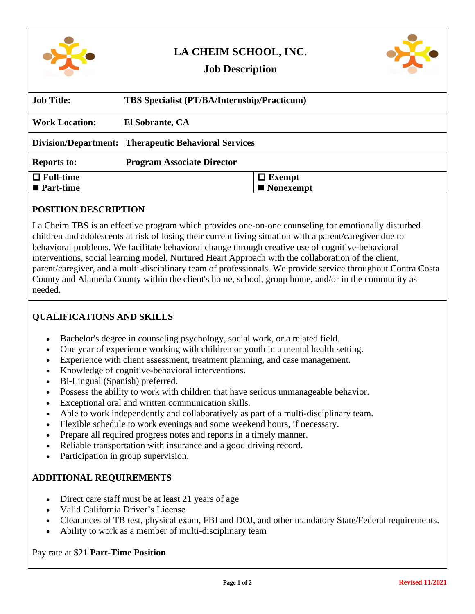

# **LA CHEIM SCHOOL, INC.**



## **Job Description**

| <b>Job Title:</b>        | <b>TBS Specialist (PT/BA/Internship/Practicum)</b>          |                          |
|--------------------------|-------------------------------------------------------------|--------------------------|
| <b>Work Location:</b>    | El Sobrante, CA                                             |                          |
|                          | <b>Division/Department: Therapeutic Behavioral Services</b> |                          |
| <b>Reports to:</b>       | <b>Program Associate Director</b>                           |                          |
| $\Box$ Full-time         |                                                             | $\Box$ Exempt            |
| $\blacksquare$ Part-time |                                                             | $\blacksquare$ Nonexempt |

#### **POSITION DESCRIPTION**

La Cheim TBS is an effective program which provides one-on-one counseling for emotionally disturbed children and adolescents at risk of losing their current living situation with a parent/caregiver due to behavioral problems. We facilitate behavioral change through creative use of cognitive-behavioral interventions, social learning model, Nurtured Heart Approach with the collaboration of the client, parent/caregiver, and a multi-disciplinary team of professionals. We provide service throughout Contra Costa County and Alameda County within the client's home, school, group home, and/or in the community as needed.

#### **QUALIFICATIONS AND SKILLS**

- Bachelor's degree in counseling psychology, social work, or a related field.
- One year of experience working with children or youth in a mental health setting.
- Experience with client assessment, treatment planning, and case management.
- Knowledge of cognitive-behavioral interventions.
- Bi-Lingual (Spanish) preferred.
- Possess the ability to work with children that have serious unmanageable behavior.
- Exceptional oral and written communication skills.
- Able to work independently and collaboratively as part of a multi-disciplinary team.
- Flexible schedule to work evenings and some weekend hours, if necessary.
- Prepare all required progress notes and reports in a timely manner.
- Reliable transportation with insurance and a good driving record.
- Participation in group supervision.

#### **ADDITIONAL REQUIREMENTS**

- Direct care staff must be at least 21 years of age
- Valid California Driver's License
- Clearances of TB test, physical exam, FBI and DOJ, and other mandatory State/Federal requirements.
- Ability to work as a member of multi-disciplinary team

#### Pay rate at \$21 **Part-Time Position**